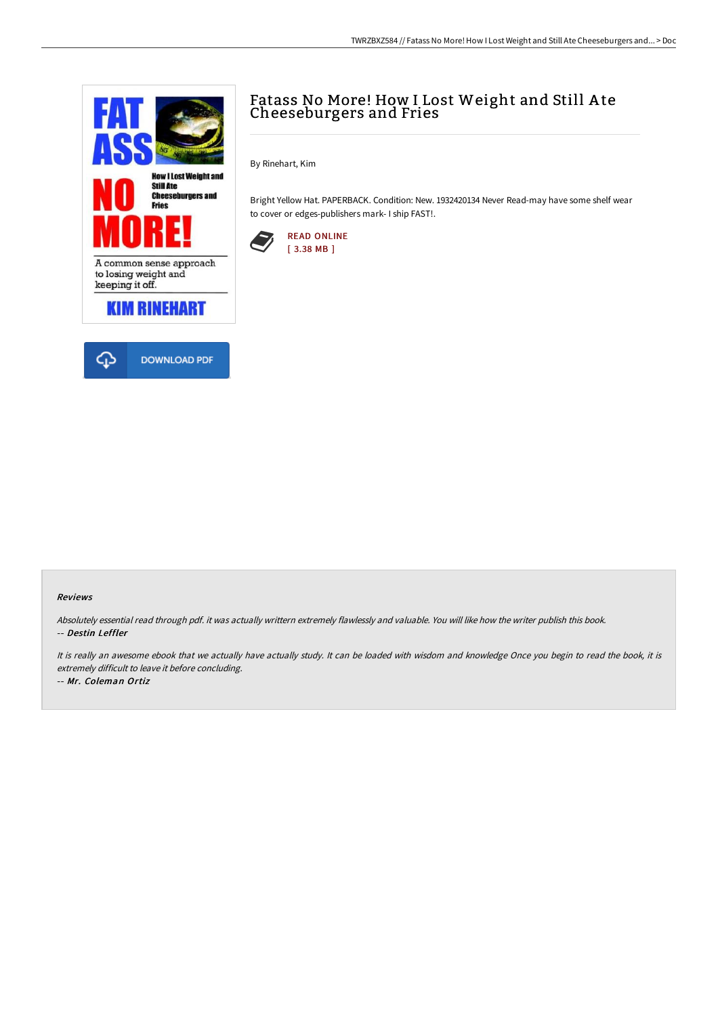

# Fatass No More! How I Lost Weight and Still A te Cheeseburgers and Fries

By Rinehart, Kim

Bright Yellow Hat. PAPERBACK. Condition: New. 1932420134 Never Read-may have some shelf wear to cover or edges-publishers mark- I ship FAST!.



#### Reviews

Absolutely essential read through pdf. it was actually writtern extremely flawlessly and valuable. You will like how the writer publish this book. -- Destin Leffler

It is really an awesome ebook that we actually have actually study. It can be loaded with wisdom and knowledge Once you begin to read the book, it is extremely difficult to leave it before concluding.

-- Mr. Coleman Ortiz